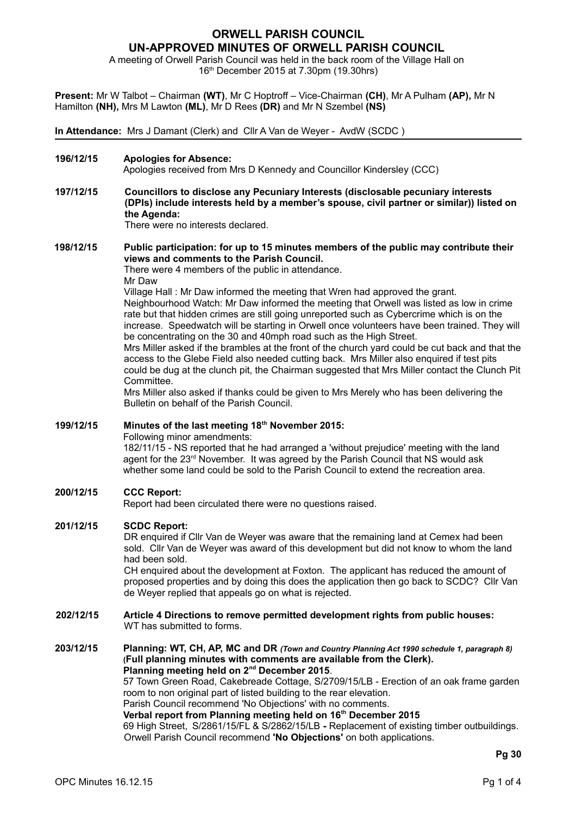# **ORWELL PARISH COUNCIL UN-APPROVED MINUTES OF ORWELL PARISH COUNCIL**

A meeting of Orwell Parish Council was held in the back room of the Village Hall on 16th December 2015 at 7.30pm (19.30hrs)

**Present:** Mr W Talbot – Chairman **(WT)**, Mr C Hoptroff – Vice-Chairman **(CH)**, Mr A Pulham **(AP),** Mr N Hamilton **(NH),** Mrs M Lawton **(ML)**, Mr D Rees **(DR)** and Mr N Szembel **(NS)**

**In Attendance:** Mrs J Damant (Clerk) and Cllr A Van de Weyer - AvdW (SCDC )

**196/12/15 Apologies for Absence:**

Apologies received from Mrs D Kennedy and Councillor Kindersley (CCC)

**197/12/15 Councillors to disclose any Pecuniary Interests (disclosable pecuniary interests (DPIs) include interests held by a member's spouse, civil partner or similar)) listed on the Agenda:**

There were no interests declared.

## **198/12/15 Public participation: for up to 15 minutes members of the public may contribute their views and comments to the Parish Council.**

There were 4 members of the public in attendance. Mr Daw

Village Hall : Mr Daw informed the meeting that Wren had approved the grant. Neighbourhood Watch: Mr Daw informed the meeting that Orwell was listed as low in crime rate but that hidden crimes are still going unreported such as Cybercrime which is on the increase. Speedwatch will be starting in Orwell once volunteers have been trained. They will be concentrating on the 30 and 40mph road such as the High Street.

Mrs Miller asked if the brambles at the front of the church yard could be cut back and that the access to the Glebe Field also needed cutting back. Mrs Miller also enquired if test pits could be dug at the clunch pit, the Chairman suggested that Mrs Miller contact the Clunch Pit Committee.

Mrs Miller also asked if thanks could be given to Mrs Merely who has been delivering the Bulletin on behalf of the Parish Council.

## **199/12/15 Minutes of the last meeting 18th November 2015:**

Following minor amendments:

182/11/15 - NS reported that he had arranged a 'without prejudice' meeting with the land agent for the 23rd November. It was agreed by the Parish Council that NS would ask whether some land could be sold to the Parish Council to extend the recreation area.

## **200/12/15 CCC Report:**

Report had been circulated there were no questions raised.

### **201/12/15 SCDC Report:**

DR enquired if Cllr Van de Weyer was aware that the remaining land at Cemex had been sold. Cllr Van de Weyer was award of this development but did not know to whom the land had been sold.

CH enquired about the development at Foxton. The applicant has reduced the amount of proposed properties and by doing this does the application then go back to SCDC? Cllr Van de Weyer replied that appeals go on what is rejected.

- **202/12/15 Article 4 Directions to remove permitted development rights from public houses:** WT has submitted to forms.
- **203/12/15 Planning: WT, CH, AP, MC and DR** *(Town and Country Planning Act 1990 schedule 1, paragraph 8)* **(Full planning minutes with comments are available from the Clerk). Planning meeting held on 2nd December 2015**. 57 Town Green Road, Cakebreade Cottage, S/2709/15/LB - Erection of an oak frame garden room to non original part of listed building to the rear elevation. Parish Council recommend 'No Objections' with no comments.

**Verbal report from Planning meeting held on 16th December 2015**

69 High Street, S/2861/15/FL & S/2862/15/LB **-** Replacement of existing timber outbuildings. Orwell Parish Council recommend **'No Objections'** on both applications.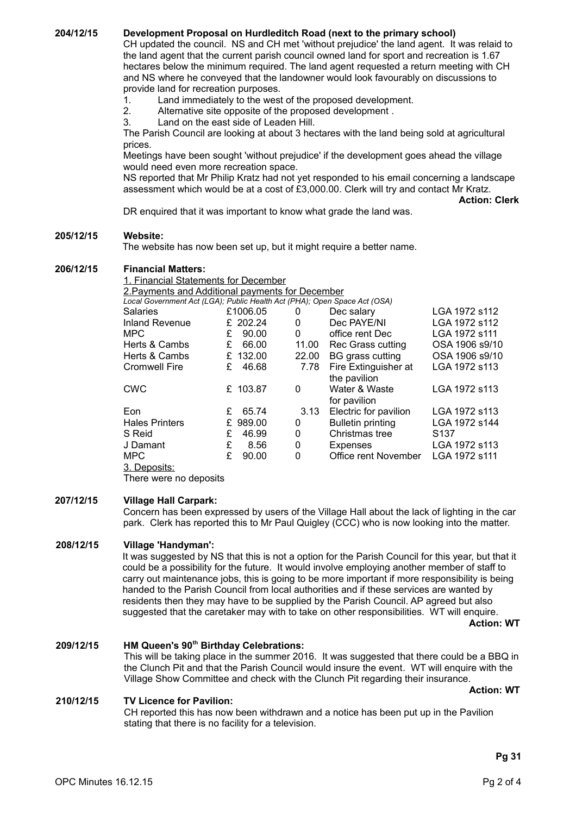**204/12/15 Development Proposal on Hurdleditch Road (next to the primary school)**

CH updated the council. NS and CH met 'without prejudice' the land agent. It was relaid to the land agent that the current parish council owned land for sport and recreation is 1.67 hectares below the minimum required. The land agent requested a return meeting with CH and NS where he conveyed that the landowner would look favourably on discussions to provide land for recreation purposes.

1. Land immediately to the west of the proposed development.

- 2. Alternative site opposite of the proposed development .
- 3. Land on the east side of Leaden Hill.

The Parish Council are looking at about 3 hectares with the land being sold at agricultural prices.

Meetings have been sought 'without prejudice' if the development goes ahead the village would need even more recreation space.

NS reported that Mr Philip Kratz had not yet responded to his email concerning a landscape assessment which would be at a cost of £3,000.00. Clerk will try and contact Mr Kratz.

**Action: Clerk**

DR enquired that it was important to know what grade the land was.

#### **205/12/15 Website:**

The website has now been set up, but it might require a better name.

#### **206/12/15 Financial Matters:**

| 1. Financial Statements for December                                      |   |          |          |                          |                  |
|---------------------------------------------------------------------------|---|----------|----------|--------------------------|------------------|
| 2. Payments and Additional payments for December                          |   |          |          |                          |                  |
| Local Government Act (LGA); Public Health Act (PHA); Open Space Act (OSA) |   |          |          |                          |                  |
| <b>Salaries</b>                                                           |   | £1006.05 | 0        | Dec salary               | LGA 1972 s112    |
| <b>Inland Revenue</b>                                                     |   | £ 202.24 | 0        | Dec PAYE/NI              | LGA 1972 s112    |
| <b>MPC</b>                                                                | £ | 90.00    | $\Omega$ | office rent Dec          | LGA 1972 s111    |
| Herts & Cambs                                                             | £ | 66.00    | 11.00    | Rec Grass cutting        | OSA 1906 s9/10   |
| Herts & Cambs                                                             | £ | 132.00   | 22.00    | BG grass cutting         | OSA 1906 s9/10   |
| <b>Cromwell Fire</b>                                                      | £ | 46.68    | 7.78     | Fire Extinguisher at     | LGA 1972 s113    |
|                                                                           |   |          |          | the pavilion             |                  |
| <b>CWC</b>                                                                |   | £ 103.87 | 0        | Water & Waste            | LGA 1972 s113    |
|                                                                           |   |          |          | for pavilion             |                  |
| Eon                                                                       | £ | 65.74    | 3.13     | Electric for pavilion    | LGA 1972 s113    |
| <b>Hales Printers</b>                                                     | £ | 989.00   | 0        | <b>Bulletin printing</b> | LGA 1972 s144    |
| S Reid                                                                    | £ | 46.99    | 0        | Christmas tree           | S <sub>137</sub> |
| J Damant                                                                  | £ | 8.56     | 0        | Expenses                 | LGA 1972 s113    |
| <b>MPC</b>                                                                | £ | 90.00    | $\Omega$ | Office rent November     | LGA 1972 s111    |
| 3. Deposits:                                                              |   |          |          |                          |                  |

There were no deposits

#### **207/12/15 Village Hall Carpark:**

Concern has been expressed by users of the Village Hall about the lack of lighting in the car park. Clerk has reported this to Mr Paul Quigley (CCC) who is now looking into the matter.

### **208/12/15 Village 'Handyman':**

It was suggested by NS that this is not a option for the Parish Council for this year, but that it could be a possibility for the future. It would involve employing another member of staff to carry out maintenance jobs, this is going to be more important if more responsibility is being handed to the Parish Council from local authorities and if these services are wanted by residents then they may have to be supplied by the Parish Council. AP agreed but also suggested that the caretaker may with to take on other responsibilities. WT will enquire.

**Action: WT**

### **209/12/15 HM Queen's 90th Birthday Celebrations:**

This will be taking place in the summer 2016. It was suggested that there could be a BBQ in the Clunch Pit and that the Parish Council would insure the event. WT will enquire with the Village Show Committee and check with the Clunch Pit regarding their insurance.

#### **Action: WT**

### **210/12/15 TV Licence for Pavilion:**

CH reported this has now been withdrawn and a notice has been put up in the Pavilion stating that there is no facility for a television.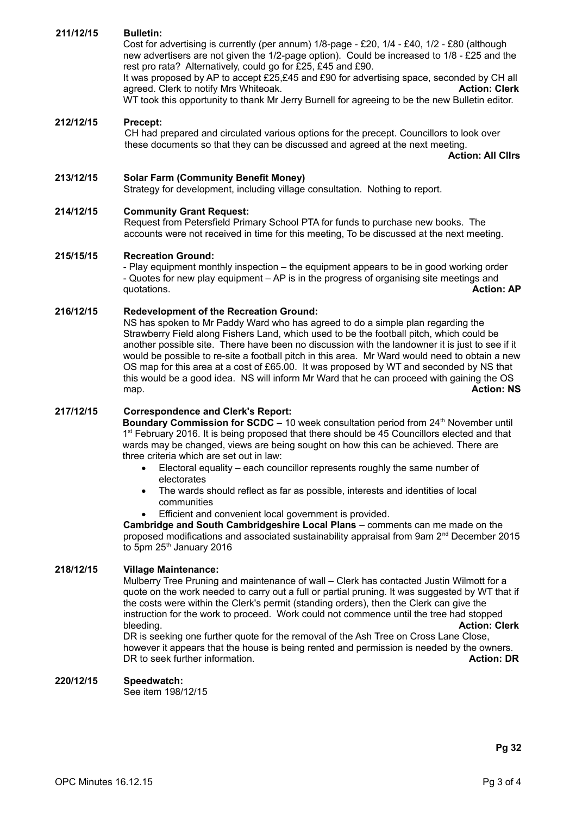## **211/12/15 Bulletin:**

Cost for advertising is currently (per annum) 1/8-page - £20, 1/4 - £40, 1/2 - £80 (although new advertisers are not given the 1/2-page option). Could be increased to 1/8 - £25 and the rest pro rata? Alternatively, could go for £25, £45 and £90.

It was proposed by AP to accept £25,£45 and £90 for advertising space, seconded by CH all agreed. Clerk to notify Mrs Whiteoak. **Action: Clerk Action: Clerk** WT took this opportunity to thank Mr Jerry Burnell for agreeing to be the new Bulletin editor.

### **212/12/15 Precept:**

CH had prepared and circulated various options for the precept. Councillors to look over these documents so that they can be discussed and agreed at the next meeting.

 **Action: All Cllrs**

## **213/12/15 Solar Farm (Community Benefit Money)**

Strategy for development, including village consultation. Nothing to report.

### **214/12/15 Community Grant Request:**

Request from Petersfield Primary School PTA for funds to purchase new books. The accounts were not received in time for this meeting, To be discussed at the next meeting.

### **215/15/15 Recreation Ground:**

- Play equipment monthly inspection – the equipment appears to be in good working order - Quotes for new play equipment – AP is in the progress of organising site meetings and quotations. **Action: AP**

### **216/12/15 Redevelopment of the Recreation Ground:**

NS has spoken to Mr Paddy Ward who has agreed to do a simple plan regarding the Strawberry Field along Fishers Land, which used to be the football pitch, which could be another possible site. There have been no discussion with the landowner it is just to see if it would be possible to re-site a football pitch in this area. Mr Ward would need to obtain a new OS map for this area at a cost of £65.00. It was proposed by WT and seconded by NS that this would be a good idea. NS will inform Mr Ward that he can proceed with gaining the OS map. **Action: NS**

### **217/12/15 Correspondence and Clerk's Report:**

**Boundary Commission for SCDC** – 10 week consultation period from 24<sup>th</sup> November until 1<sup>st</sup> February 2016. It is being proposed that there should be 45 Councillors elected and that wards may be changed, views are being sought on how this can be achieved. There are three criteria which are set out in law:

- Electoral equality each councillor represents roughly the same number of electorates
- The wards should reflect as far as possible, interests and identities of local communities
- Efficient and convenient local government is provided.

**Cambridge and South Cambridgeshire Local Plans** – comments can me made on the proposed modifications and associated sustainability appraisal from 9am 2nd December 2015 to 5pm  $25<sup>th</sup>$  January 2016

## **218/12/15 Village Maintenance:**

Mulberry Tree Pruning and maintenance of wall – Clerk has contacted Justin Wilmott for a quote on the work needed to carry out a full or partial pruning. It was suggested by WT that if the costs were within the Clerk's permit (standing orders), then the Clerk can give the instruction for the work to proceed. Work could not commence until the tree had stopped bleeding. **Action: Clerk**

DR is seeking one further quote for the removal of the Ash Tree on Cross Lane Close, however it appears that the house is being rented and permission is needed by the owners. DR to seek further information. **Action: DR** to seek further information.

### **220/12/15 Speedwatch:**

See item 198/12/15